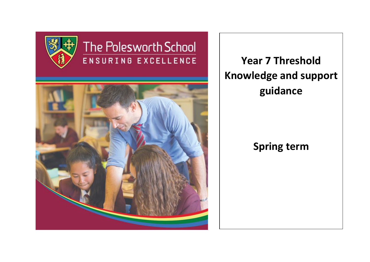

# The Polesworth School ENSURING EXCELLENCE



**Year 7 Threshold Knowledge and support guidance**

# **Spring term**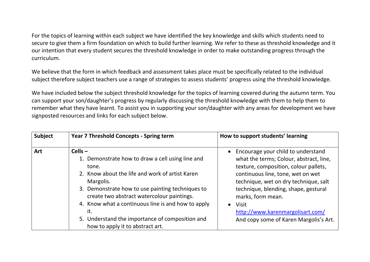For the topics of learning within each subject we have identified the key knowledge and skills which students need to secure to give them a firm foundation on which to build further learning. We refer to these as threshold knowledge and it our intention that every student secures the threshold knowledge in order to make outstanding progress through the curriculum.

We believe that the form in which feedback and assessment takes place must be specifically related to the individual subject therefore subject teachers use a range of strategies to assess students' progress using the threshold knowledge.

We have included below the subject threshold knowledge for the topics of learning covered during the autumn term. You can support your son/daughter's progress by regularly discussing the threshold knowledge with them to help them to remember what they have learnt. To assist you in supporting your son/daughter with any areas for development we have signposted resources and links for each subject below.

| <b>Subject</b> | <b>Year 7 Threshold Concepts - Spring term</b>                                                                                                                                                                                                                                                                                                                                               | How to support students' learning                                                                                                                                                                                                                                                                                                                                     |
|----------------|----------------------------------------------------------------------------------------------------------------------------------------------------------------------------------------------------------------------------------------------------------------------------------------------------------------------------------------------------------------------------------------------|-----------------------------------------------------------------------------------------------------------------------------------------------------------------------------------------------------------------------------------------------------------------------------------------------------------------------------------------------------------------------|
| <b>Art</b>     | $Cells -$<br>1. Demonstrate how to draw a cell using line and<br>tone.<br>2. Know about the life and work of artist Karen<br>Margolis.<br>3. Demonstrate how to use painting techniques to<br>create two abstract watercolour paintings.<br>4. Know what a continuous line is and how to apply<br>it.<br>5. Understand the importance of composition and<br>how to apply it to abstract art. | Encourage your child to understand<br>what the terms; Colour, abstract, line,<br>texture, composition, colour pallets,<br>continuous line, tone, wet on wet<br>technique, wet on dry technique, salt<br>technique, blending, shape, gestural<br>marks, form mean.<br>Visit<br>$\bullet$<br>http://www.karenmargolisart.com/<br>And copy some of Karen Margolis's Art. |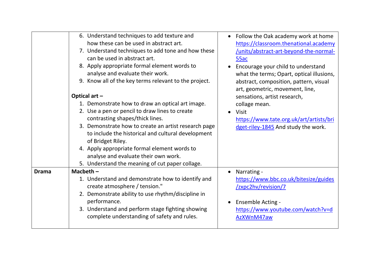|              | 6. Understand techniques to add texture and<br>how these can be used in abstract art.<br>7. Understand techniques to add tone and how these<br>can be used in abstract art.<br>8. Apply appropriate formal element words to<br>analyse and evaluate their work.<br>9. Know all of the key terms relevant to the project.<br>Optical art -<br>1. Demonstrate how to draw an optical art image.<br>2. Use a pen or pencil to draw lines to create<br>contrasting shapes/thick lines.<br>3. Demonstrate how to create an artist research page<br>to include the historical and cultural development<br>of Bridget Riley.<br>4. Apply appropriate formal element words to<br>analyse and evaluate their own work. | • Follow the Oak academy work at home<br>https://classroom.thenational.academy<br>/units/abstract-art-beyond-the-normal-<br>55ac<br>Encourage your child to understand<br>what the terms; Opart, optical illusions,<br>abstract, composition, pattern, visual<br>art, geometric, movement, line,<br>sensations, artist research,<br>collage mean.<br>Visit<br>https://www.tate.org.uk/art/artists/bri<br>dget-riley-1845 And study the work. |
|--------------|---------------------------------------------------------------------------------------------------------------------------------------------------------------------------------------------------------------------------------------------------------------------------------------------------------------------------------------------------------------------------------------------------------------------------------------------------------------------------------------------------------------------------------------------------------------------------------------------------------------------------------------------------------------------------------------------------------------|----------------------------------------------------------------------------------------------------------------------------------------------------------------------------------------------------------------------------------------------------------------------------------------------------------------------------------------------------------------------------------------------------------------------------------------------|
|              | 5. Understand the meaning of cut paper collage.                                                                                                                                                                                                                                                                                                                                                                                                                                                                                                                                                                                                                                                               |                                                                                                                                                                                                                                                                                                                                                                                                                                              |
| <b>Drama</b> | Macbeth $-$<br>1. Understand and demonstrate how to identify and<br>create atmosphere / tension."<br>2. Demonstrate ability to use rhythm/discipline in<br>performance.<br>3. Understand and perform stage fighting showing<br>complete understanding of safety and rules.                                                                                                                                                                                                                                                                                                                                                                                                                                    | Narrating -<br>https://www.bbc.co.uk/bitesize/guides<br>/zxpc2hv/revision/7<br><b>Ensemble Acting -</b><br>https://www.youtube.com/watch?v=d<br>AzXWnM47aw                                                                                                                                                                                                                                                                                   |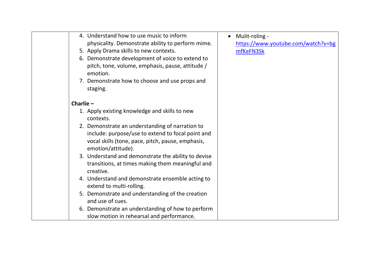| 4. Understand how to use music to inform                                | Mulit-roling -                     |
|-------------------------------------------------------------------------|------------------------------------|
| physicality. Demonstrate ability to perform mime.                       | https://www.youtube.com/watch?v=bg |
| 5. Apply Drama skills to new contexts.                                  | mfKeFN3Sk                          |
| 6. Demonstrate development of voice to extend to                        |                                    |
| pitch, tone, volume, emphasis, pause, attitude /<br>emotion.            |                                    |
| 7. Demonstrate how to choose and use props and<br>staging.              |                                    |
|                                                                         |                                    |
| Charlie $-$                                                             |                                    |
| 1. Apply existing knowledge and skills to new                           |                                    |
| contexts.                                                               |                                    |
| 2. Demonstrate an understanding of narration to                         |                                    |
| include: purpose/use to extend to focal point and                       |                                    |
| vocal skills (tone, pace, pitch, pause, emphasis,<br>emotion/attitude). |                                    |
| 3. Understand and demonstrate the ability to devise                     |                                    |
| transitions, at times making them meaningful and<br>creative.           |                                    |
| 4. Understand and demonstrate ensemble acting to                        |                                    |
| extend to multi-rolling.                                                |                                    |
| 5. Demonstrate and understanding of the creation                        |                                    |
| and use of cues.                                                        |                                    |
| 6. Demonstrate an understanding of how to perform                       |                                    |
| slow motion in rehearsal and performance.                               |                                    |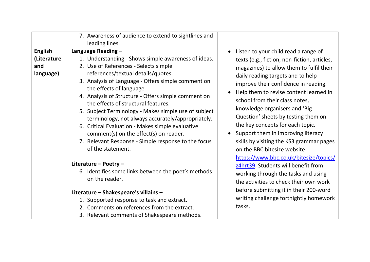|                                                   | 7. Awareness of audience to extend to sightlines and<br>leading lines.                                                                                                                                                                                                                                                                                                                                                                                                                                                                                                                                                          |                                                                                                                                                                                                                                                                                                                                                                                                                                                                                                                        |
|---------------------------------------------------|---------------------------------------------------------------------------------------------------------------------------------------------------------------------------------------------------------------------------------------------------------------------------------------------------------------------------------------------------------------------------------------------------------------------------------------------------------------------------------------------------------------------------------------------------------------------------------------------------------------------------------|------------------------------------------------------------------------------------------------------------------------------------------------------------------------------------------------------------------------------------------------------------------------------------------------------------------------------------------------------------------------------------------------------------------------------------------------------------------------------------------------------------------------|
| <b>English</b><br>(Literature<br>and<br>language) | Language Reading -<br>1. Understanding - Shows simple awareness of ideas.<br>2. Use of References - Selects simple<br>references/textual details/quotes.<br>3. Analysis of Language - Offers simple comment on<br>the effects of language.<br>4. Analysis of Structure - Offers simple comment on<br>the effects of structural features.<br>5. Subject Terminology - Makes simple use of subject<br>terminology, not always accurately/appropriately.<br>6. Critical Evaluation - Makes simple evaluative<br>comment(s) on the effect(s) on reader.<br>7. Relevant Response - Simple response to the focus<br>of the statement. | Listen to your child read a range of<br>texts (e.g., fiction, non-fiction, articles,<br>magazines) to allow them to fulfil their<br>daily reading targets and to help<br>improve their confidence in reading.<br>Help them to revise content learned in<br>school from their class notes,<br>knowledge organisers and 'Big<br>Question' sheets by testing them on<br>the key concepts for each topic.<br>Support them in improving literacy<br>skills by visiting the KS3 grammar pages<br>on the BBC bitesize website |
|                                                   | Literature - Poetry -<br>6. Identifies some links between the poet's methods<br>on the reader.                                                                                                                                                                                                                                                                                                                                                                                                                                                                                                                                  | https://www.bbc.co.uk/bitesize/topics/<br>z4hrt39. Students will benefit from<br>working through the tasks and using<br>the activities to check their own work                                                                                                                                                                                                                                                                                                                                                         |
|                                                   | Literature - Shakespeare's villains -<br>1. Supported response to task and extract.<br>2. Comments on references from the extract.<br>3. Relevant comments of Shakespeare methods.                                                                                                                                                                                                                                                                                                                                                                                                                                              | before submitting it in their 200-word<br>writing challenge fortnightly homework<br>tasks.                                                                                                                                                                                                                                                                                                                                                                                                                             |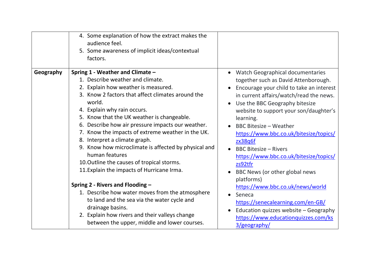| 4. Some explanation of how the extract makes the<br>audience feel.<br>5. Some awareness of implicit ideas/contextual<br>factors. |                                          |
|----------------------------------------------------------------------------------------------------------------------------------|------------------------------------------|
| Spring 1 - Weather and Climate -                                                                                                 | <b>Watch Geographical documentaries</b>  |
| Geography                                                                                                                        | together such as David Attenborough.     |
| 1. Describe weather and climate.                                                                                                 | Encourage your child to take an interest |
| 2. Explain how weather is measured.                                                                                              | in current affairs/watch/read the news.  |
| 3. Know 2 factors that affect climates around the                                                                                | Use the BBC Geography bitesize           |
| world.                                                                                                                           | website to support your son/daughter's   |
| 4. Explain why rain occurs.                                                                                                      | learning.                                |
| 5. Know that the UK weather is changeable.                                                                                       | <b>BBC Bitesize - Weather</b>            |
| 6. Describe how air pressure impacts our weather.                                                                                | https://www.bbc.co.uk/bitesize/topics/   |
| 7. Know the impacts of extreme weather in the UK.                                                                                | zx38q6f                                  |
| 8. Interpret a climate graph.                                                                                                    | <b>BBC Bitesize - Rivers</b>             |
| 9. Know how microclimate is affected by physical and                                                                             | https://www.bbc.co.uk/bitesize/topics/   |
| human features                                                                                                                   | zs92tfr                                  |
| 10. Outline the causes of tropical storms.                                                                                       | BBC News (or other global news           |
| 11. Explain the impacts of Hurricane Irma.                                                                                       | platforms)                               |
| Spring 2 - Rivers and Flooding -                                                                                                 | https://www.bbc.co.uk/news/world         |
| 1. Describe how water moves from the atmosphere                                                                                  | Seneca                                   |
| to land and the sea via the water cycle and                                                                                      | https://senecalearning.com/en-GB/        |
| drainage basins.                                                                                                                 | Education quizzes website - Geography    |
| 2. Explain how rivers and their valleys change                                                                                   | https://www.educationquizzes.com/ks      |
| between the upper, middle and lower courses.                                                                                     | 3/geography/                             |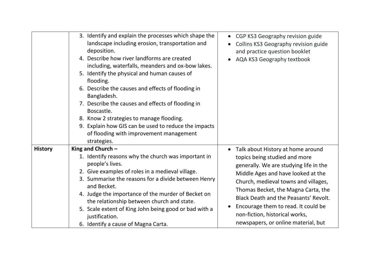|                | 3. Identify and explain the processes which shape the<br>landscape including erosion, transportation and<br>deposition.<br>4. Describe how river landforms are created<br>including, waterfalls, meanders and ox-bow lakes.<br>5. Identify the physical and human causes of<br>flooding.<br>6. Describe the causes and effects of flooding in<br>Bangladesh.<br>7. Describe the causes and effects of flooding in<br>Boscastle.<br>8. Know 2 strategies to manage flooding.<br>9. Explain how GIS can be used to reduce the impacts<br>of flooding with improvement management<br>strategies. | CGP KS3 Geography revision guide<br>$\bullet$<br>Collins KS3 Geography revision guide<br>and practice question booklet<br>AQA KS3 Geography textbook                                                                                                                                                                                                                                       |
|----------------|-----------------------------------------------------------------------------------------------------------------------------------------------------------------------------------------------------------------------------------------------------------------------------------------------------------------------------------------------------------------------------------------------------------------------------------------------------------------------------------------------------------------------------------------------------------------------------------------------|--------------------------------------------------------------------------------------------------------------------------------------------------------------------------------------------------------------------------------------------------------------------------------------------------------------------------------------------------------------------------------------------|
| <b>History</b> | King and Church -<br>1. Identify reasons why the church was important in<br>people's lives.<br>2. Give examples of roles in a medieval village.<br>3. Summarise the reasons for a divide between Henry<br>and Becket.<br>4. Judge the importance of the murder of Becket on<br>the relationship between church and state.<br>5. Scale extent of King John being good or bad with a<br>justification.<br>6. Identify a cause of Magna Carta.                                                                                                                                                   | Talk about History at home around<br>topics being studied and more<br>generally. We are studying life in the<br>Middle Ages and have looked at the<br>Church, medieval towns and villages,<br>Thomas Becket, the Magna Carta, the<br>Black Death and the Peasants' Revolt.<br>Encourage them to read. It could be<br>non-fiction, historical works,<br>newspapers, or online material, but |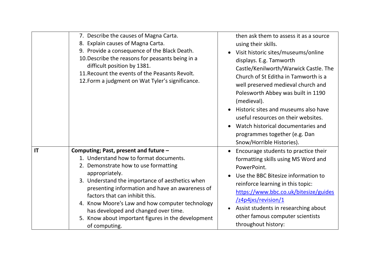|    | 7. Describe the causes of Magna Carta.<br>8. Explain causes of Magna Carta.<br>9. Provide a consequence of the Black Death.<br>10. Describe the reasons for peasants being in a<br>difficult position by 1381.<br>11. Recount the events of the Peasants Revolt.<br>12. Form a judgment on Wat Tyler's significance.                                                                                                                                | then ask them to assess it as a source<br>using their skills.<br>Visit historic sites/museums/online<br>displays. E.g. Tamworth<br>Castle/Kenilworth/Warwick Castle. The<br>Church of St Editha in Tamworth is a<br>well preserved medieval church and<br>Polesworth Abbey was built in 1190<br>(medieval).<br>Historic sites and museums also have<br>useful resources on their websites.<br>Watch historical documentaries and<br>programmes together (e.g. Dan<br>Snow/Horrible Histories). |
|----|-----------------------------------------------------------------------------------------------------------------------------------------------------------------------------------------------------------------------------------------------------------------------------------------------------------------------------------------------------------------------------------------------------------------------------------------------------|------------------------------------------------------------------------------------------------------------------------------------------------------------------------------------------------------------------------------------------------------------------------------------------------------------------------------------------------------------------------------------------------------------------------------------------------------------------------------------------------|
| IT | Computing; Past, present and future -<br>1. Understand how to format documents.<br>2. Demonstrate how to use formatting<br>appropriately.<br>3. Understand the importance of aesthetics when<br>presenting information and have an awareness of<br>factors that can inhibit this.<br>4. Know Moore's Law and how computer technology<br>has developed and changed over time.<br>5. Know about important figures in the development<br>of computing. | Encourage students to practice their<br>formatting skills using MS Word and<br>PowerPoint.<br>Use the BBC Bitesize information to<br>reinforce learning in this topic:<br>https://www.bbc.co.uk/bitesize/guides<br>/z4p4jxs/revision/1<br>Assist students in researching about<br>other famous computer scientists<br>throughout history:                                                                                                                                                      |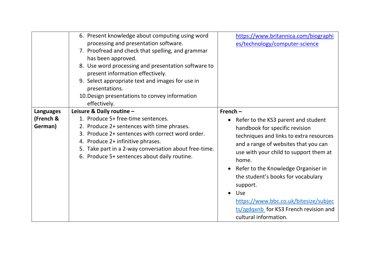|                      | 6. Present knowledge about computing using word<br>processing and presentation software.<br>7. Proofread and check that spelling, and grammar<br>has been approved.<br>8. Use word processing and presentation software to                                                         | https://www.britannica.com/biographi<br>es/technology/computer-science                                                                                                                                                                                                                                                                                                                                                               |
|----------------------|------------------------------------------------------------------------------------------------------------------------------------------------------------------------------------------------------------------------------------------------------------------------------------|--------------------------------------------------------------------------------------------------------------------------------------------------------------------------------------------------------------------------------------------------------------------------------------------------------------------------------------------------------------------------------------------------------------------------------------|
|                      | present information effectively.<br>9. Select appropriate text and images for use in<br>presentations.<br>10. Design presentations to convey information<br>effectively.                                                                                                           |                                                                                                                                                                                                                                                                                                                                                                                                                                      |
| <b>Languages</b>     | Leisure & Daily routine -                                                                                                                                                                                                                                                          | French $-$                                                                                                                                                                                                                                                                                                                                                                                                                           |
| (French &<br>German) | 1. Produce 5+ free-time sentences.<br>2. Produce 2+ sentences with time phrases.<br>3. Produce 2+ sentences with correct word order.<br>4. Produce 2+ infinitive phrases.<br>5. Take part in a 2-way conversation about free-time.<br>6. Produce 5+ sentences about daily routine. | Refer to the KS3 parent and student<br>handbook for specific revision<br>techniques and links to extra resources<br>and a range of websites that you can<br>use with your child to support them at<br>home.<br>Refer to the Knowledge Organiser in<br>the student's books for vocabulary<br>support.<br>Use<br>$\bullet$<br>https://www.bbc.co.uk/bitesize/subjec<br>ts/zgdqxnb for KS3 French revision and<br>cultural information. |
|                      |                                                                                                                                                                                                                                                                                    |                                                                                                                                                                                                                                                                                                                                                                                                                                      |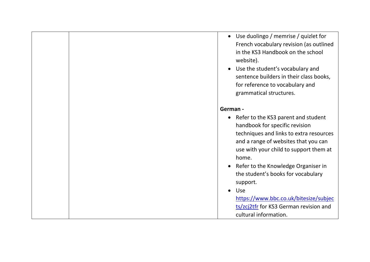• Use duolingo / memrise / quizlet for French vocabulary revision (as outlined in the KS3 Handbook on the school website). • Use the student's vocabulary and sentence builders in their class books, for reference to vocabulary and grammatical structures. **German -** • Refer to the KS3 parent and student handbook for specific revision techniques and links to extra resources and a range of websites that you can use with your child to support them at home. • Refer to the Knowledge Organiser in the student's books for vocabulary support. • Use [https://www.bbc.co.uk/bitesize/subjec](https://www.bbc.co.uk/bitesize/subjects/zcj2tfr) [ts/zcj2tfr](https://www.bbc.co.uk/bitesize/subjects/zcj2tfr) for KS3 German revision and cultural information.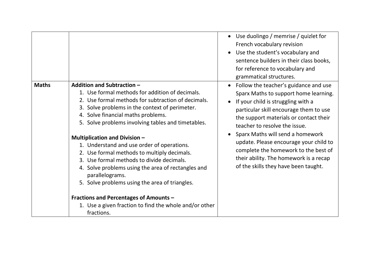|              |                                                                                                                                                                                                                                                                                                           | Use duolingo / memrise / quizlet for<br>French vocabulary revision<br>Use the student's vocabulary and<br>sentence builders in their class books,<br>for reference to vocabulary and<br>grammatical structures.                                        |
|--------------|-----------------------------------------------------------------------------------------------------------------------------------------------------------------------------------------------------------------------------------------------------------------------------------------------------------|--------------------------------------------------------------------------------------------------------------------------------------------------------------------------------------------------------------------------------------------------------|
| <b>Maths</b> | Addition and Subtraction -<br>1. Use formal methods for addition of decimals.<br>2. Use formal methods for subtraction of decimals.<br>3. Solve problems in the context of perimeter.<br>4. Solve financial maths problems.<br>5. Solve problems involving tables and timetables.                         | Follow the teacher's guidance and use<br>$\bullet$<br>Sparx Maths to support home learning.<br>If your child is struggling with a<br>particular skill encourage them to use<br>the support materials or contact their<br>teacher to resolve the issue. |
|              | <b>Multiplication and Division -</b><br>1. Understand and use order of operations.<br>2. Use formal methods to multiply decimals.<br>3. Use formal methods to divide decimals.<br>4. Solve problems using the area of rectangles and<br>parallelograms.<br>5. Solve problems using the area of triangles. | Sparx Maths will send a homework<br>update. Please encourage your child to<br>complete the homework to the best of<br>their ability. The homework is a recap<br>of the skills they have been taught.                                                   |
|              | <b>Fractions and Percentages of Amounts -</b><br>1. Use a given fraction to find the whole and/or other<br>fractions.                                                                                                                                                                                     |                                                                                                                                                                                                                                                        |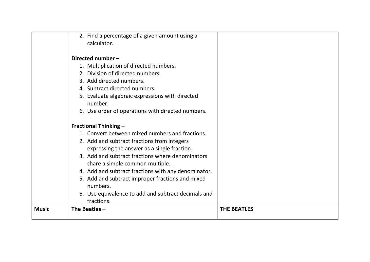|              | 2. Find a percentage of a given amount using a      |                    |
|--------------|-----------------------------------------------------|--------------------|
|              | calculator.                                         |                    |
|              |                                                     |                    |
|              | Directed number -                                   |                    |
|              | 1. Multiplication of directed numbers.              |                    |
|              | 2. Division of directed numbers.                    |                    |
|              | 3. Add directed numbers.                            |                    |
|              | 4. Subtract directed numbers.                       |                    |
|              | 5. Evaluate algebraic expressions with directed     |                    |
|              | number.                                             |                    |
|              | 6. Use order of operations with directed numbers.   |                    |
|              |                                                     |                    |
|              | <b>Fractional Thinking -</b>                        |                    |
|              | 1. Convert between mixed numbers and fractions.     |                    |
|              | 2. Add and subtract fractions from integers         |                    |
|              | expressing the answer as a single fraction.         |                    |
|              | 3. Add and subtract fractions where denominators    |                    |
|              | share a simple common multiple.                     |                    |
|              | 4. Add and subtract fractions with any denominator. |                    |
|              | 5. Add and subtract improper fractions and mixed    |                    |
|              | numbers.                                            |                    |
|              | 6. Use equivalence to add and subtract decimals and |                    |
|              | fractions.                                          |                    |
| <b>Music</b> | The Beatles $-$                                     | <b>THE BEATLES</b> |
|              |                                                     |                    |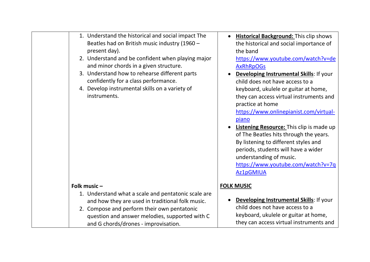| 1. Understand the historical and social impact The<br>Beatles had on British music industry (1960 -<br>present day).<br>2. Understand and be confident when playing major<br>and minor chords in a given structure.<br>3. Understand how to rehearse different parts<br>confidently for a class performance.<br>4. Develop instrumental skills on a variety of<br>instruments. | <b>Historical Background: This clip shows</b><br>the historical and social importance of<br>the band<br>https://www.youtube.com/watch?v=de<br><b>AxRhRpOGs</b><br>Developing Instrumental Skills: If your<br>child does not have access to a<br>keyboard, ukulele or guitar at home,<br>they can access virtual instruments and<br>practice at home<br>https://www.onlinepianist.com/virtual-<br>piano<br><b>Listening Resource:</b> This clip is made up<br>of The Beatles hits through the years.<br>By listening to different styles and<br>periods, students will have a wider<br>understanding of music.<br>https://www.youtube.com/watch?v=7q<br><b>Az1pGMIUA</b> |
|--------------------------------------------------------------------------------------------------------------------------------------------------------------------------------------------------------------------------------------------------------------------------------------------------------------------------------------------------------------------------------|-------------------------------------------------------------------------------------------------------------------------------------------------------------------------------------------------------------------------------------------------------------------------------------------------------------------------------------------------------------------------------------------------------------------------------------------------------------------------------------------------------------------------------------------------------------------------------------------------------------------------------------------------------------------------|
| Folk music-<br>1. Understand what a scale and pentatonic scale are<br>and how they are used in traditional folk music.<br>2. Compose and perform their own pentatonic<br>question and answer melodies, supported with C<br>and G chords/drones - improvisation.                                                                                                                | <b>FOLK MUSIC</b><br>Developing Instrumental Skills: If your<br>child does not have access to a<br>keyboard, ukulele or guitar at home,<br>they can access virtual instruments and                                                                                                                                                                                                                                                                                                                                                                                                                                                                                      |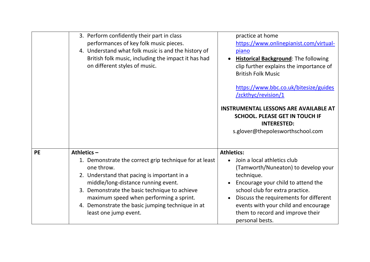|           | 3. Perform confidently their part in class<br>performances of key folk music pieces.<br>4. Understand what folk music is and the history of<br>British folk music, including the impact it has had<br>on different styles of music.                                                                                                                  | practice at home<br>https://www.onlinepianist.com/virtual-<br>piano<br><b>Historical Background: The following</b><br>clip further explains the importance of<br><b>British Folk Music</b><br>https://www.bbc.co.uk/bitesize/guides<br>/zckthyc/revision/1<br><b>INSTRUMENTAL LESSONS ARE AVAILABLE AT</b><br><b>SCHOOL. PLEASE GET IN TOUCH IF</b><br><b>INTERESTED:</b><br>s.glover@thepolesworthschool.com |
|-----------|------------------------------------------------------------------------------------------------------------------------------------------------------------------------------------------------------------------------------------------------------------------------------------------------------------------------------------------------------|---------------------------------------------------------------------------------------------------------------------------------------------------------------------------------------------------------------------------------------------------------------------------------------------------------------------------------------------------------------------------------------------------------------|
| <b>PE</b> | Athletics $-$<br>1. Demonstrate the correct grip technique for at least<br>one throw.<br>2. Understand that pacing is important in a<br>middle/long-distance running event.<br>3. Demonstrate the basic technique to achieve<br>maximum speed when performing a sprint.<br>4. Demonstrate the basic jumping technique in at<br>least one jump event. | <b>Athletics:</b><br>• Join a local athletics club<br>(Tamworth/Nuneaton) to develop your<br>technique.<br>Encourage your child to attend the<br>school club for extra practice.<br>Discuss the requirements for different<br>events with your child and encourage<br>them to record and improve their<br>personal bests.                                                                                     |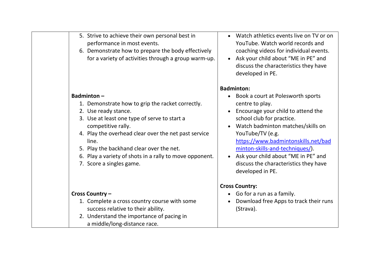| 5. Strive to achieve their own personal best in<br>performance in most events.<br>6. Demonstrate how to prepare the body effectively<br>for a variety of activities through a group warm-up.                                                                                                                                                                            | Watch athletics events live on TV or on<br>$\bullet$<br>YouTube. Watch world records and<br>coaching videos for individual events.<br>Ask your child about "ME in PE" and<br>discuss the characteristics they have<br>developed in PE.                                                                                                                                      |
|-------------------------------------------------------------------------------------------------------------------------------------------------------------------------------------------------------------------------------------------------------------------------------------------------------------------------------------------------------------------------|-----------------------------------------------------------------------------------------------------------------------------------------------------------------------------------------------------------------------------------------------------------------------------------------------------------------------------------------------------------------------------|
|                                                                                                                                                                                                                                                                                                                                                                         | <b>Badminton:</b>                                                                                                                                                                                                                                                                                                                                                           |
| <b>Badminton-</b><br>1. Demonstrate how to grip the racket correctly.<br>2. Use ready stance.<br>3. Use at least one type of serve to start a<br>competitive rally.<br>4. Play the overhead clear over the net past service<br>line.<br>5. Play the backhand clear over the net.<br>6. Play a variety of shots in a rally to move opponent.<br>7. Score a singles game. | Book a court at Polesworth sports<br>centre to play.<br>Encourage your child to attend the<br>school club for practice.<br>Watch badminton matches/skills on<br>YouTube/TV (e.g.<br>https://www.badmintonskills.net/bad<br>minton-skills-and-techniques/).<br>Ask your child about "ME in PE" and<br>$\bullet$<br>discuss the characteristics they have<br>developed in PE. |
|                                                                                                                                                                                                                                                                                                                                                                         | <b>Cross Country:</b>                                                                                                                                                                                                                                                                                                                                                       |
| Cross Country -                                                                                                                                                                                                                                                                                                                                                         | • Go for a run as a family.                                                                                                                                                                                                                                                                                                                                                 |
| 1. Complete a cross country course with some<br>success relative to their ability.<br>2. Understand the importance of pacing in<br>a middle/long-distance race.                                                                                                                                                                                                         | Download free Apps to track their runs<br>(Strava).                                                                                                                                                                                                                                                                                                                         |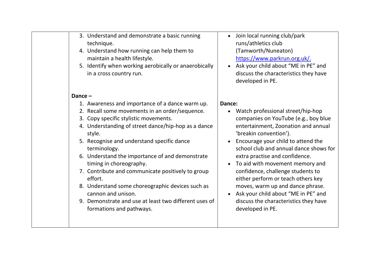|        | 3. Understand and demonstrate a basic running<br>technique.<br>4. Understand how running can help them to<br>maintain a health lifestyle.<br>5. Identify when working aerobically or anaerobically<br>in a cross country run. |        | Join local<br>runs/ath<br>(Tamwor<br>https://w<br>Ask your<br>discuss tl<br>develope |
|--------|-------------------------------------------------------------------------------------------------------------------------------------------------------------------------------------------------------------------------------|--------|--------------------------------------------------------------------------------------|
| Dance- |                                                                                                                                                                                                                               |        |                                                                                      |
|        | 1. Awareness and importance of a dance warm up.                                                                                                                                                                               | Dance: |                                                                                      |
|        | 2. Recall some movements in an order/sequence.                                                                                                                                                                                |        | Watch pr                                                                             |
|        | 3. Copy specific stylistic movements.                                                                                                                                                                                         |        | compani                                                                              |
|        | 4. Understanding of street dance/hip-hop as a dance<br>style.                                                                                                                                                                 |        | entertair<br>'breakin                                                                |
|        | 5. Recognise and understand specific dance<br>terminology.                                                                                                                                                                    |        | Encourag<br>school cl                                                                |
|        | 6. Understand the importance of and demonstrate<br>timing in choreography.                                                                                                                                                    |        | extra pra<br>To aid wi                                                               |
|        | 7. Contribute and communicate positively to group<br>effort.                                                                                                                                                                  |        | confiden<br>either pe                                                                |
|        | 8. Understand some choreographic devices such as<br>cannon and unison.                                                                                                                                                        |        | moves, w<br>Ask your                                                                 |
|        | 9. Demonstrate and use at least two different uses of<br>formations and pathways.                                                                                                                                             |        | discuss tl<br>develope                                                               |
|        |                                                                                                                                                                                                                               |        |                                                                                      |

- running club/park letics club rth/Nuneaton) www.parkrun.org.uk/.
- child about "ME in PE" and he characteristics they have ed in PE.
- rofessional street/hip-hop es on YouTube (e.g., boy blue iment, Zoonation and annual convention').
- ge your child to attend the ub and annual dance shows for actise and confidence.
- ith movement memory and ce, challenge students to erform or teach others key varm up and dance phrase.
- child about "ME in PE" and he characteristics they have ed in PE.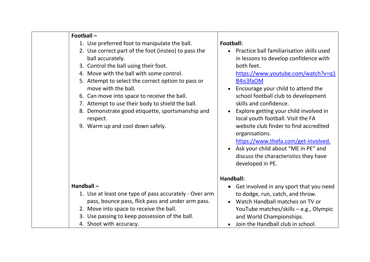| Football:<br>Practice ball familiarisation skills used<br>in lessons to develop confidence with<br>both feet.<br>https://www.youtube.com/watch?v=q1<br>B4is3faOM<br>Encourage your child to attend the<br>school football club to development<br>skills and confidence.<br>Explore getting your child involved in<br>$\bullet$<br>local youth football. Visit the FA<br>website club finder to find accredited<br>organisations.<br>https://www.thefa.com/get-involved.<br>• Ask your child about "ME in PE" and<br>discuss the characteristics they have<br>developed in PE. |
|-------------------------------------------------------------------------------------------------------------------------------------------------------------------------------------------------------------------------------------------------------------------------------------------------------------------------------------------------------------------------------------------------------------------------------------------------------------------------------------------------------------------------------------------------------------------------------|
| Handball:                                                                                                                                                                                                                                                                                                                                                                                                                                                                                                                                                                     |
| • Get involved in any sport that you need<br>to dodge, run, catch, and throw.<br>Watch Handball matches on TV or<br>YouTube matches/skills - e.g., Olympic<br>and World Championships.<br>Join the Handball club in school.                                                                                                                                                                                                                                                                                                                                                   |
|                                                                                                                                                                                                                                                                                                                                                                                                                                                                                                                                                                               |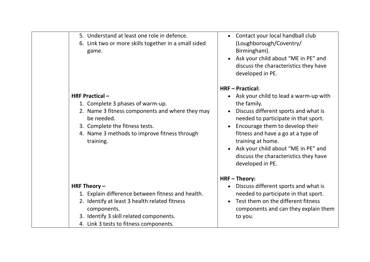| 5. Understand at least one role in defence.<br>Contact your local handball club<br>$\bullet$<br>(Loughborough/Coventry/<br>6. Link two or more skills together in a small sided<br>Birmingham).<br>game.<br>Ask your child about "ME in PE" and<br>discuss the characteristics they have                                                                                                                                                                                                             |  |
|------------------------------------------------------------------------------------------------------------------------------------------------------------------------------------------------------------------------------------------------------------------------------------------------------------------------------------------------------------------------------------------------------------------------------------------------------------------------------------------------------|--|
| developed in PE.<br><b>HRF-Practical:</b><br><b>HRF Practical-</b><br>Ask your child to lead a warm-up with<br>$\bullet$<br>1. Complete 3 phases of warm-up.<br>the family.<br>2. Name 3 fitness components and where they may<br>Discuss different sports and what is<br>be needed.<br>needed to participate in that sport.<br>3. Complete the fitness tests.<br>Encourage them to develop their<br>$\bullet$<br>4. Name 3 methods to improve fitness through<br>fitness and have a go at a type of |  |
| training at home.<br>training.<br>Ask your child about "ME in PE" and<br>discuss the characteristics they have<br>developed in PE.<br><b>HRF-Theory:</b>                                                                                                                                                                                                                                                                                                                                             |  |
| HRF Theory $-$<br>Discuss different sports and what is<br>$\bullet$                                                                                                                                                                                                                                                                                                                                                                                                                                  |  |
| 1. Explain difference between fitness and health.<br>needed to participate in that sport.                                                                                                                                                                                                                                                                                                                                                                                                            |  |
| Test them on the different fitness<br>2. Identify at least 3 health related fitness                                                                                                                                                                                                                                                                                                                                                                                                                  |  |
| components and can they explain them<br>components.                                                                                                                                                                                                                                                                                                                                                                                                                                                  |  |
| 3. Identify 3 skill related components.<br>to you.<br>4. Link 3 tests to fitness components.                                                                                                                                                                                                                                                                                                                                                                                                         |  |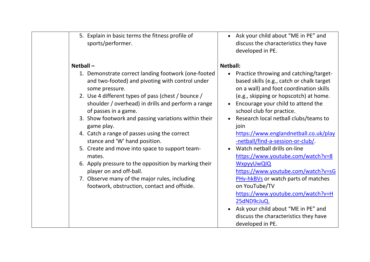| 5. Explain in basic terms the fitness profile of<br>sports/performer.                                                                                                                                                                                                                                                                                                                                                              | • Ask your child about "ME in PE" and<br>discuss the characteristics they have<br>developed in PE.                                                                                                                                                                                                                                                                                            |
|------------------------------------------------------------------------------------------------------------------------------------------------------------------------------------------------------------------------------------------------------------------------------------------------------------------------------------------------------------------------------------------------------------------------------------|-----------------------------------------------------------------------------------------------------------------------------------------------------------------------------------------------------------------------------------------------------------------------------------------------------------------------------------------------------------------------------------------------|
| $Netball -$<br>1. Demonstrate correct landing footwork (one-footed<br>and two-footed) and pivoting with control under<br>some pressure.<br>2. Use 4 different types of pass (chest / bounce /<br>shoulder / overhead) in drills and perform a range<br>of passes in a game.<br>3. Show footwork and passing variations within their<br>game play.<br>4. Catch a range of passes using the correct<br>stance and 'W' hand position. | <b>Netball:</b><br>Practice throwing and catching/target-<br>based skills (e.g., catch or chalk target<br>on a wall) and foot coordination skills<br>(e.g., skipping or hopscotch) at home.<br>Encourage your child to attend the<br>school club for practice.<br>Research local netball clubs/teams to<br>join<br>https://www.englandnetball.co.uk/play<br>-netball/find-a-session-or-club/. |
| 5. Create and move into space to support team-<br>mates.<br>6. Apply pressure to the opposition by marking their<br>player on and off-ball.<br>7. Observe many of the major rules, including<br>footwork, obstruction, contact and offside.                                                                                                                                                                                        | Watch netball drills on-line<br>https://www.youtube.com/watch?v=8<br>WxpyyUwQIQ<br>https://www.youtube.com/watch?v=sG<br>PHv-hkBVs or watch parts of matches<br>on YouTube/TV<br>https://www.youtube.com/watch?v=H<br>25dND9cJuQ.<br>• Ask your child about "ME in PE" and<br>discuss the characteristics they have<br>developed in PE.                                                       |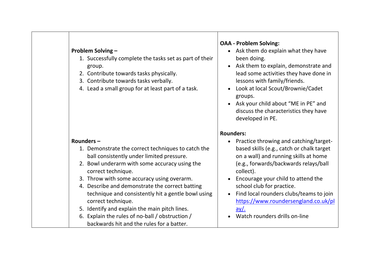# **Problem Solving –**

- 1. Successfully complete the tasks set as part of their group.
- 2. Contribute towards tasks physically.
- 3. Contribute towards tasks verbally.
- 4. Lead a small group for at least part of a task.

## **Rounders –**

- 1. Demonstrate the correct techniques to catch the ball consistently under limited pressure.
- 2. Bowl underarm with some accuracy using the correct technique.
- 3. Throw with some accuracy using overarm.
- 4. Describe and demonstrate the correct batting technique and consistently hit a gentle bowl using correct technique.
- 5. Identify and explain the main pitch lines.
- 6. Explain the rules of no-ball / obstruction / backwards hit and the rules for a batter.

# **OAA - Problem Solving:**

- Ask them do explain what they have been doing.
- Ask them to explain, demonstrate and lead some activities they have done in lessons with family/friends.
- Look at local Scout/Brownie/Cadet groups.
- Ask your child about "ME in PE" and discuss the characteristics they have developed in PE.

## **Rounders:**

- Practice throwing and catching/targetbased skills (e.g., catch or chalk target on a wall) and running skills at home (e.g., forwards/backwards relays/ball collect).
- Encourage your child to attend the school club for practice.
- Find local rounders clubs/teams to join [https://www.roundersengland.co.uk/pl](https://www.roundersengland.co.uk/play/)  $ay/$ .
	- Watch rounders drills on-line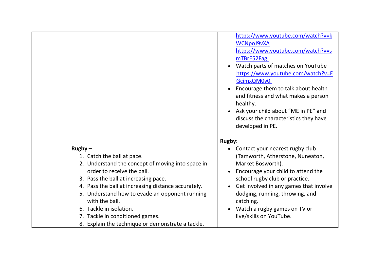|                                                                                                                                                                                                                                                                                                                                                                                                                  | <b>WCNpoJ9vXA</b><br>https://www.youtube.com/watch?v=s<br>mTBrE52Fag.<br>Watch parts of matches on YouTube<br>https://www.youtube.com/watch?v=E<br>GcimxQM0v0.<br>Encourage them to talk about health<br>and fitness and what makes a person<br>healthy.<br>Ask your child about "ME in PE" and<br>discuss the characteristics they have<br>developed in PE. |
|------------------------------------------------------------------------------------------------------------------------------------------------------------------------------------------------------------------------------------------------------------------------------------------------------------------------------------------------------------------------------------------------------------------|--------------------------------------------------------------------------------------------------------------------------------------------------------------------------------------------------------------------------------------------------------------------------------------------------------------------------------------------------------------|
|                                                                                                                                                                                                                                                                                                                                                                                                                  | <b>Rugby:</b>                                                                                                                                                                                                                                                                                                                                                |
| $Rugby -$<br>1. Catch the ball at pace.<br>2. Understand the concept of moving into space in<br>order to receive the ball.<br>3. Pass the ball at increasing pace.<br>4. Pass the ball at increasing distance accurately.<br>5. Understand how to evade an opponent running<br>with the ball.<br>6. Tackle in isolation.<br>7. Tackle in conditioned games.<br>8. Explain the technique or demonstrate a tackle. | Contact your nearest rugby club<br>(Tamworth, Atherstone, Nuneaton,<br>Market Bosworth).<br>Encourage your child to attend the<br>school rugby club or practice.<br>Get involved in any games that involve<br>dodging, running, throwing, and<br>catching.<br>Watch a rugby games on TV or<br>live/skills on YouTube.                                        |

[https://www.youtube.com/watch?v=k](https://www.youtube.com/watch?v=kWCNpoJ9vXA)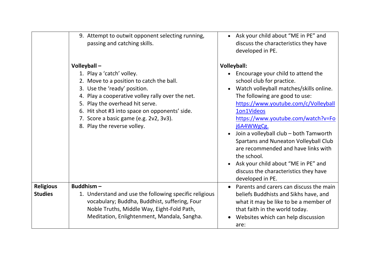|                                    | 9. Attempt to outwit opponent selecting running,<br>passing and catching skills.                                                                                                                                                                                                                                                      | • Ask your child about "ME in PE" and<br>discuss the characteristics they have<br>developed in PE.                                                                                                                                                                                                                                                                                                                                                                                                                        |
|------------------------------------|---------------------------------------------------------------------------------------------------------------------------------------------------------------------------------------------------------------------------------------------------------------------------------------------------------------------------------------|---------------------------------------------------------------------------------------------------------------------------------------------------------------------------------------------------------------------------------------------------------------------------------------------------------------------------------------------------------------------------------------------------------------------------------------------------------------------------------------------------------------------------|
|                                    | Volleyball-<br>1. Play a 'catch' volley.<br>2. Move to a position to catch the ball.<br>3. Use the 'ready' position.<br>4. Play a cooperative volley rally over the net.<br>5. Play the overhead hit serve.<br>6. Hit shot #3 into space on opponents' side.<br>7. Score a basic game (e.g. 2v2, 3v3).<br>8. Play the reverse volley. | <b>Volleyball:</b><br>Encourage your child to attend the<br>school club for practice.<br>Watch volleyball matches/skills online.<br>The following are good to use:<br>https://www.youtube.com/c/Volleyball<br>1on1Videos<br>https://www.youtube.com/watch?v=Fo<br>j6A4WWgCg.<br>Join a volleyball club - both Tamworth<br>Spartans and Nuneaton Volleyball Club<br>are recommended and have links with<br>the school.<br>Ask your child about "ME in PE" and<br>discuss the characteristics they have<br>developed in PE. |
| <b>Religious</b><br><b>Studies</b> | Buddhism-<br>1. Understand and use the following specific religious<br>vocabulary; Buddha, Buddhist, suffering, Four<br>Noble Truths, Middle Way, Eight-Fold Path,<br>Meditation, Enlightenment, Mandala, Sangha.                                                                                                                     | Parents and carers can discuss the main<br>beliefs Buddhists and Sikhs have, and<br>what it may be like to be a member of<br>that faith in the world today.<br>Websites which can help discussion<br>are:                                                                                                                                                                                                                                                                                                                 |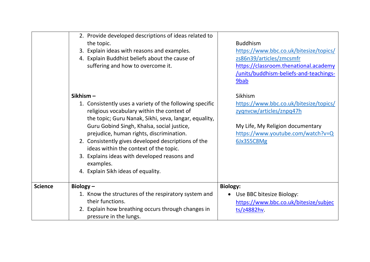|                | 2. Provide developed descriptions of ideas related to<br>the topic.<br>3. Explain ideas with reasons and examples.<br>4. Explain Buddhist beliefs about the cause of<br>suffering and how to overcome it.                                                                                                                                                                                                                                                                 | <b>Buddhism</b><br>https://www.bbc.co.uk/bitesize/topics/<br>zs86n39/articles/zmcsmfr<br>https://classroom.thenational.academy<br>/units/buddhism-beliefs-and-teachings-<br>9bab |
|----------------|---------------------------------------------------------------------------------------------------------------------------------------------------------------------------------------------------------------------------------------------------------------------------------------------------------------------------------------------------------------------------------------------------------------------------------------------------------------------------|----------------------------------------------------------------------------------------------------------------------------------------------------------------------------------|
|                | Sikhism-<br>1. Consistently uses a variety of the following specific<br>religious vocabulary within the context of<br>the topic; Guru Nanak, Sikhi, seva, langar, equality,<br>Guru Gobind Singh, Khalsa, social justice,<br>prejudice, human rights, discrimination.<br>2. Consistently gives developed descriptions of the<br>ideas within the context of the topic.<br>3. Explains ideas with developed reasons and<br>examples.<br>4. Explain Sikh ideas of equality. | Sikhism<br>https://www.bbc.co.uk/bitesize/topics/<br>zygnvcw/articles/znpq47h<br>My Life, My Religion documentary<br>https://www.youtube.com/watch?v=Q<br>6Jx3S5C8Mg             |
| <b>Science</b> | Biology $-$<br>1. Know the structures of the respiratory system and<br>their functions.<br>2. Explain how breathing occurs through changes in<br>pressure in the lungs.                                                                                                                                                                                                                                                                                                   | <b>Biology:</b><br>Use BBC bitesize Biology:<br>$\bullet$<br>https://www.bbc.co.uk/bitesize/subjec<br>ts/z4882hv.                                                                |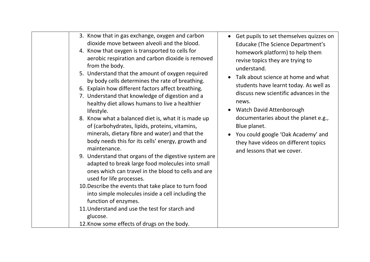| 3. Know that in gas exchange, oxygen and carbon<br>dioxide move between alveoli and the blood.<br>4. Know that oxygen is transported to cells for<br>aerobic respiration and carbon dioxide is removed<br>from the body.<br>5. Understand that the amount of oxygen required<br>by body cells determines the rate of breathing.<br>6. Explain how different factors affect breathing.<br>7. Understand that knowledge of digestion and a<br>healthy diet allows humans to live a healthier<br>lifestyle.<br>8. Know what a balanced diet is, what it is made up<br>of (carbohydrates, lipids, proteins, vitamins,<br>minerals, dietary fibre and water) and that the<br>body needs this for its cells' energy, growth and<br>maintenance.<br>9. Understand that organs of the digestive system are<br>adapted to break large food molecules into small<br>ones which can travel in the blood to cells and are<br>used for life processes.<br>10. Describe the events that take place to turn food<br>into simple molecules inside a cell including the<br>function of enzymes.<br>11. Understand and use the test for starch and<br>glucose.<br>12. Know some effects of drugs on the body. | • Get pupils to set themselves quizzes on<br>Educake (The Science Department's<br>homework platform) to help them<br>revise topics they are trying to<br>understand.<br>Talk about science at home and what<br>students have learnt today. As well as<br>discuss new scientific advances in the<br>news.<br><b>Watch David Attenborough</b><br>documentaries about the planet e.g.,<br>Blue planet.<br>You could google 'Oak Academy' and<br>they have videos on different topics<br>and lessons that we cover. |
|---------------------------------------------------------------------------------------------------------------------------------------------------------------------------------------------------------------------------------------------------------------------------------------------------------------------------------------------------------------------------------------------------------------------------------------------------------------------------------------------------------------------------------------------------------------------------------------------------------------------------------------------------------------------------------------------------------------------------------------------------------------------------------------------------------------------------------------------------------------------------------------------------------------------------------------------------------------------------------------------------------------------------------------------------------------------------------------------------------------------------------------------------------------------------------------------|-----------------------------------------------------------------------------------------------------------------------------------------------------------------------------------------------------------------------------------------------------------------------------------------------------------------------------------------------------------------------------------------------------------------------------------------------------------------------------------------------------------------|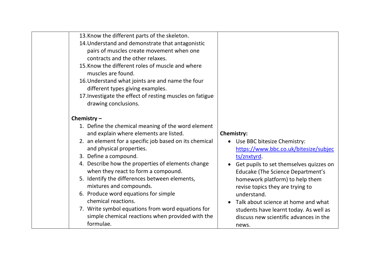| 13. Know the different parts of the skeleton.<br>14. Understand and demonstrate that antagonistic<br>pairs of muscles create movement when one<br>contracts and the other relaxes.<br>15. Know the different roles of muscle and where<br>muscles are found.<br>16. Understand what joints are and name the four<br>different types giving examples.<br>17. Investigate the effect of resting muscles on fatigue<br>drawing conclusions.                                                                                                                                                  |                                                                                                                                                                                                                                                                                                                                                                                                                            |
|-------------------------------------------------------------------------------------------------------------------------------------------------------------------------------------------------------------------------------------------------------------------------------------------------------------------------------------------------------------------------------------------------------------------------------------------------------------------------------------------------------------------------------------------------------------------------------------------|----------------------------------------------------------------------------------------------------------------------------------------------------------------------------------------------------------------------------------------------------------------------------------------------------------------------------------------------------------------------------------------------------------------------------|
| Chemistry $-$<br>1. Define the chemical meaning of the word element<br>and explain where elements are listed.<br>2. an element for a specific job based on its chemical<br>and physical properties.<br>3. Define a compound.<br>4. Describe how the properties of elements change<br>when they react to form a compound.<br>5. Identify the differences between elements,<br>mixtures and compounds.<br>6. Produce word equations for simple<br>chemical reactions.<br>7. Write symbol equations from word equations for<br>simple chemical reactions when provided with the<br>formulae. | <b>Chemistry:</b><br>• Use BBC bitesize Chemistry:<br>https://www.bbc.co.uk/bitesize/subjec<br>ts/znxtyrd<br>Get pupils to set themselves quizzes on<br><b>Educake (The Science Department's</b><br>homework platform) to help them<br>revise topics they are trying to<br>understand.<br>Talk about science at home and what<br>students have learnt today. As well as<br>discuss new scientific advances in the<br>news. |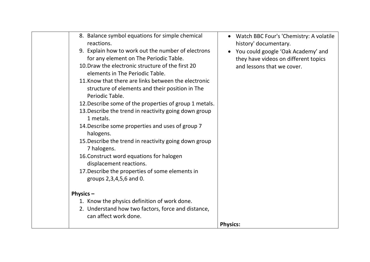| 8. Balance symbol equations for simple chemical<br>reactions.<br>9. Explain how to work out the number of electrons<br>for any element on The Periodic Table.<br>10. Draw the electronic structure of the first 20<br>elements in The Periodic Table.<br>11. Know that there are links between the electronic<br>structure of elements and their position in The<br>Periodic Table.<br>12. Describe some of the properties of group 1 metals.<br>13. Describe the trend in reactivity going down group<br>1 metals.<br>14. Describe some properties and uses of group 7<br>halogens.<br>15. Describe the trend in reactivity going down group<br>7 halogens.<br>16. Construct word equations for halogen<br>displacement reactions.<br>17. Describe the properties of some elements in<br>groups 2,3,4,5,6 and 0.<br>Physics $-$ | Watch BBC Four's 'Chemistry: A volatile<br>$\bullet$<br>history' documentary.<br>You could google 'Oak Academy' and<br>they have videos on different topics<br>and lessons that we cover. |
|----------------------------------------------------------------------------------------------------------------------------------------------------------------------------------------------------------------------------------------------------------------------------------------------------------------------------------------------------------------------------------------------------------------------------------------------------------------------------------------------------------------------------------------------------------------------------------------------------------------------------------------------------------------------------------------------------------------------------------------------------------------------------------------------------------------------------------|-------------------------------------------------------------------------------------------------------------------------------------------------------------------------------------------|
|                                                                                                                                                                                                                                                                                                                                                                                                                                                                                                                                                                                                                                                                                                                                                                                                                                  |                                                                                                                                                                                           |
| 1. Know the physics definition of work done.                                                                                                                                                                                                                                                                                                                                                                                                                                                                                                                                                                                                                                                                                                                                                                                     |                                                                                                                                                                                           |
| 2. Understand how two factors, force and distance,                                                                                                                                                                                                                                                                                                                                                                                                                                                                                                                                                                                                                                                                                                                                                                               |                                                                                                                                                                                           |
| can affect work done.                                                                                                                                                                                                                                                                                                                                                                                                                                                                                                                                                                                                                                                                                                                                                                                                            |                                                                                                                                                                                           |
|                                                                                                                                                                                                                                                                                                                                                                                                                                                                                                                                                                                                                                                                                                                                                                                                                                  | <b>Physics:</b>                                                                                                                                                                           |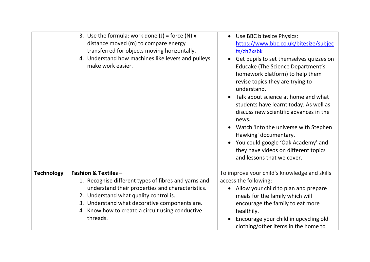|                   | 3. Use the formula: work done $(J)$ = force $(N)$ x<br>distance moved (m) to compare energy<br>transferred for objects moving horizontally.<br>4. Understand how machines like levers and pulleys<br>make work easier. | Use BBC bitesize Physics:<br>https://www.bbc.co.uk/bitesize/subjec<br>ts/zh2xsbk<br>Get pupils to set themselves quizzes on<br><b>Educake (The Science Department's</b><br>homework platform) to help them<br>revise topics they are trying to<br>understand.<br>Talk about science at home and what<br>students have learnt today. As well as<br>discuss new scientific advances in the<br>news.<br>Watch 'Into the universe with Stephen<br>Hawking' documentary.<br>You could google 'Oak Academy' and<br>they have videos on different topics<br>and lessons that we cover. |
|-------------------|------------------------------------------------------------------------------------------------------------------------------------------------------------------------------------------------------------------------|---------------------------------------------------------------------------------------------------------------------------------------------------------------------------------------------------------------------------------------------------------------------------------------------------------------------------------------------------------------------------------------------------------------------------------------------------------------------------------------------------------------------------------------------------------------------------------|
| <b>Technology</b> | <b>Fashion &amp; Textiles -</b>                                                                                                                                                                                        | To improve your child's knowledge and skills                                                                                                                                                                                                                                                                                                                                                                                                                                                                                                                                    |
|                   | 1. Recognise different types of fibres and yarns and<br>understand their properties and characteristics.                                                                                                               | access the following:<br>Allow your child to plan and prepare                                                                                                                                                                                                                                                                                                                                                                                                                                                                                                                   |
|                   | 2. Understand what quality control is.                                                                                                                                                                                 | meals for the family which will                                                                                                                                                                                                                                                                                                                                                                                                                                                                                                                                                 |
|                   | 3. Understand what decorative components are.                                                                                                                                                                          | encourage the family to eat more                                                                                                                                                                                                                                                                                                                                                                                                                                                                                                                                                |
|                   | 4. Know how to create a circuit using conductive<br>threads.                                                                                                                                                           | healthily.<br>Encourage your child in upcycling old                                                                                                                                                                                                                                                                                                                                                                                                                                                                                                                             |
|                   |                                                                                                                                                                                                                        | clothing/other items in the home to                                                                                                                                                                                                                                                                                                                                                                                                                                                                                                                                             |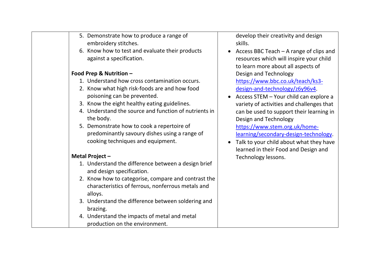| 5. Demonstrate how to produce a range of<br>embroidery stitches.                 | develop their<br>skills.    |
|----------------------------------------------------------------------------------|-----------------------------|
| 6. Know how to test and evaluate their products                                  | <b>Access BBC T</b>         |
| against a specification.                                                         | resources wh                |
|                                                                                  | to learn more               |
| Food Prep & Nutrition -                                                          | Design and T                |
| 1. Understand how cross contamination occurs.                                    | https://www                 |
| 2. Know what high risk-foods are and how food                                    | design-and-te               |
| poisoning can be prevented.                                                      | <b>Access STEM</b>          |
| 3. Know the eight healthy eating guidelines.                                     | variety of act              |
| 4. Understand the source and function of nutrients in                            | can be used t               |
| the body.                                                                        | Design and T                |
| 5. Demonstrate how to cook a repertoire of                                       | https://www                 |
| predominantly savoury dishes using a range of                                    | learning/seco               |
| cooking techniques and equipment.                                                | Talk to your o<br>$\bullet$ |
|                                                                                  | learned in the              |
| Metal Project -                                                                  | Technology k                |
| 1. Understand the difference between a design brief<br>and design specification. |                             |
| 2. Know how to categorise, compare and contrast the                              |                             |
| characteristics of ferrous, nonferrous metals and<br>alloys.                     |                             |
| 3. Understand the difference between soldering and<br>brazing.                   |                             |
| 4. Understand the impacts of metal and metal                                     |                             |
| production on the environment.                                                   |                             |

r creativity and design

- $\epsilon$ each A range of clips and ich will inspire your child e about all aspects of echnology .bbc.co.uk/teach/ks3echnology/z6y96v4.
- Your child can explore a tivities and challenges that to support their learning in echnology .stem.org.uk/homeondary-design-technology.
- child about what they have eir Food and Design and essons.